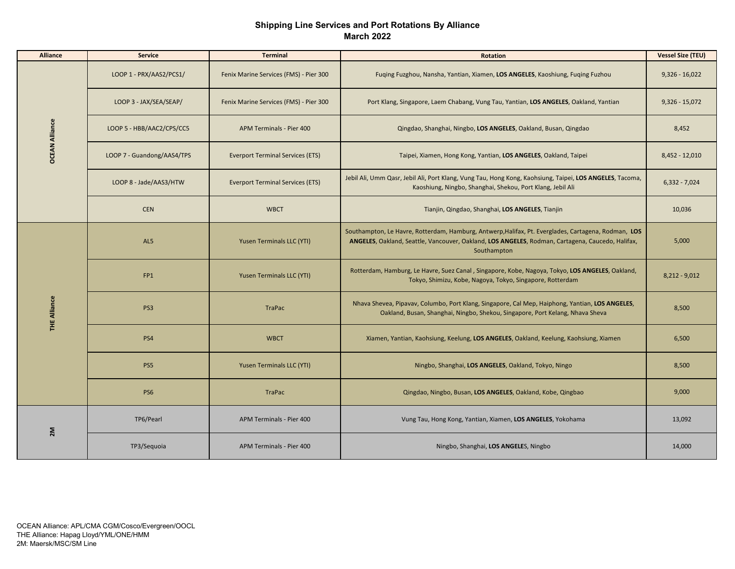## **Shipping Line Services and Port Rotations By Alliance March 2022**

| <b>Alliance</b>       | <b>Service</b>             | <b>Terminal</b>                         | <b>Rotation</b>                                                                                                                                                                                                        | <b>Vessel Size (TEU)</b> |
|-----------------------|----------------------------|-----------------------------------------|------------------------------------------------------------------------------------------------------------------------------------------------------------------------------------------------------------------------|--------------------------|
| <b>OCEAN Alliance</b> | LOOP 1 - PRX/AAS2/PCS1/    | Fenix Marine Services (FMS) - Pier 300  | Fuging Fuzghou, Nansha, Yantian, Xiamen, LOS ANGELES, Kaoshiung, Fuging Fuzhou                                                                                                                                         | $9,326 - 16,022$         |
|                       | LOOP 3 - JAX/SEA/SEAP/     | Fenix Marine Services (FMS) - Pier 300  | Port Klang, Singapore, Laem Chabang, Vung Tau, Yantian, LOS ANGELES, Oakland, Yantian                                                                                                                                  | $9,326 - 15,072$         |
|                       | LOOP 5 - HBB/AAC2/CPS/CC5  | APM Terminals - Pier 400                | Qingdao, Shanghai, Ningbo, LOS ANGELES, Oakland, Busan, Qingdao                                                                                                                                                        | 8,452                    |
|                       | LOOP 7 - Guandong/AAS4/TPS | <b>Everport Terminal Services (ETS)</b> | Taipei, Xiamen, Hong Kong, Yantian, LOS ANGELES, Oakland, Taipei                                                                                                                                                       | $8,452 - 12,010$         |
|                       | LOOP 8 - Jade/AAS3/HTW     | <b>Everport Terminal Services (ETS)</b> | Jebil Ali, Umm Qasr, Jebil Ali, Port Klang, Vung Tau, Hong Kong, Kaohsiung, Taipei, LOS ANGELES, Tacoma,<br>Kaoshiung, Ningbo, Shanghai, Shekou, Port Klang, Jebil Ali                                                 | $6,332 - 7,024$          |
|                       | <b>CEN</b>                 | <b>WBCT</b>                             | Tianjin, Qingdao, Shanghai, LOS ANGELES, Tianjin                                                                                                                                                                       | 10,036                   |
|                       | AL5                        | Yusen Terminals LLC (YTI)               | Southampton, Le Havre, Rotterdam, Hamburg, Antwerp, Halifax, Pt. Everglades, Cartagena, Rodman, LOS<br>ANGELES, Oakland, Seattle, Vancouver, Oakland, LOS ANGELES, Rodman, Cartagena, Caucedo, Halifax,<br>Southampton | 5,000                    |
|                       | FP1                        | Yusen Terminals LLC (YTI)               | Rotterdam, Hamburg, Le Havre, Suez Canal, Singapore, Kobe, Nagoya, Tokyo, LOS ANGELES, Oakland,<br>Tokyo, Shimizu, Kobe, Nagoya, Tokyo, Singapore, Rotterdam                                                           | $8,212 - 9,012$          |
| <b>THE Alliance</b>   | PS <sub>3</sub>            | <b>TraPac</b>                           | Nhava Shevea, Pipavav, Columbo, Port Klang, Singapore, Cal Mep, Haiphong, Yantian, LOS ANGELES,<br>Oakland, Busan, Shanghai, Ningbo, Shekou, Singapore, Port Kelang, Nhava Sheva                                       | 8,500                    |
|                       | PS4                        | <b>WBCT</b>                             | Xiamen, Yantian, Kaohsiung, Keelung, LOS ANGELES, Oakland, Keelung, Kaohsiung, Xiamen                                                                                                                                  | 6,500                    |
|                       | PS5                        | Yusen Terminals LLC (YTI)               | Ningbo, Shanghai, LOS ANGELES, Oakland, Tokyo, Ningo                                                                                                                                                                   | 8,500                    |
|                       | PS6                        | TraPac                                  | Qingdao, Ningbo, Busan, LOS ANGELES, Oakland, Kobe, Qingbao                                                                                                                                                            | 9,000                    |
| 2M                    | TP6/Pearl                  | APM Terminals - Pier 400                | Vung Tau, Hong Kong, Yantian, Xiamen, LOS ANGELES, Yokohama                                                                                                                                                            | 13,092                   |
|                       | TP3/Sequoia                | APM Terminals - Pier 400                | Ningbo, Shanghai, LOS ANGELES, Ningbo                                                                                                                                                                                  | 14,000                   |